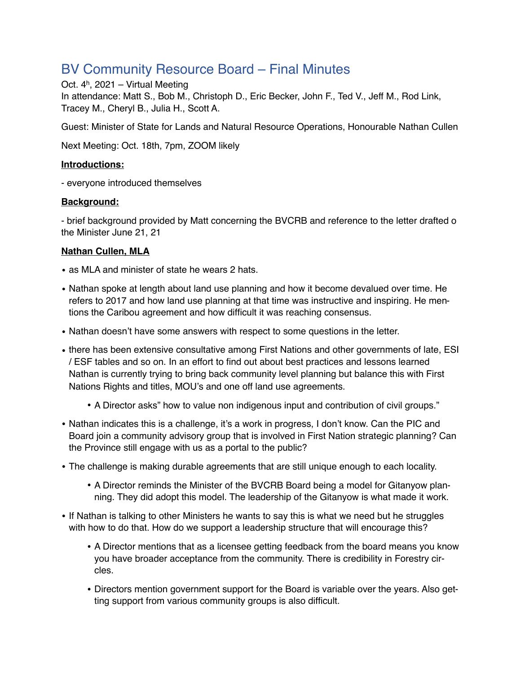# BV Community Resource Board – Final Minutes

Oct. 4h, 2021 – Virtual Meeting In attendance: Matt S., Bob M., Christoph D., Eric Becker, John F., Ted V., Jeff M., Rod Link, Tracey M., Cheryl B., Julia H., Scott A.

Guest: Minister of State for Lands and Natural Resource Operations, Honourable Nathan Cullen

Next Meeting: Oct. 18th, 7pm, ZOOM likely

## **Introductions:**

- everyone introduced themselves

## **Background:**

- brief background provided by Matt concerning the BVCRB and reference to the letter drafted o the Minister June 21, 21

## **Nathan Cullen, MLA**

- as MLA and minister of state he wears 2 hats.
- Nathan spoke at length about land use planning and how it become devalued over time. He refers to 2017 and how land use planning at that time was instructive and inspiring. He mentions the Caribou agreement and how difficult it was reaching consensus.
- Nathan doesn't have some answers with respect to some questions in the letter.
- there has been extensive consultative among First Nations and other governments of late, ESI / ESF tables and so on. In an effort to find out about best practices and lessons learned Nathan is currently trying to bring back community level planning but balance this with First Nations Rights and titles, MOU's and one off land use agreements.
	- A Director asks" how to value non indigenous input and contribution of civil groups."
- Nathan indicates this is a challenge, it's a work in progress, I don't know. Can the PIC and Board join a community advisory group that is involved in First Nation strategic planning? Can the Province still engage with us as a portal to the public?
- The challenge is making durable agreements that are still unique enough to each locality.
	- A Director reminds the Minister of the BVCRB Board being a model for Gitanyow planning. They did adopt this model. The leadership of the Gitanyow is what made it work.
- If Nathan is talking to other Ministers he wants to say this is what we need but he struggles with how to do that. How do we support a leadership structure that will encourage this?
	- A Director mentions that as a licensee getting feedback from the board means you know you have broader acceptance from the community. There is credibility in Forestry circles.
	- Directors mention government support for the Board is variable over the years. Also getting support from various community groups is also difficult.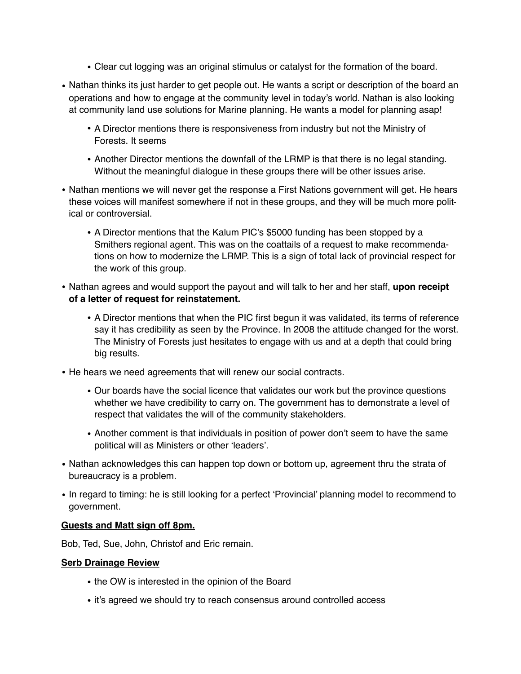- Clear cut logging was an original stimulus or catalyst for the formation of the board.
- Nathan thinks its just harder to get people out. He wants a script or description of the board an operations and how to engage at the community level in today's world. Nathan is also looking at community land use solutions for Marine planning. He wants a model for planning asap!
	- A Director mentions there is responsiveness from industry but not the Ministry of Forests. It seems
	- Another Director mentions the downfall of the LRMP is that there is no legal standing. Without the meaningful dialogue in these groups there will be other issues arise.
- Nathan mentions we will never get the response a First Nations government will get. He hears these voices will manifest somewhere if not in these groups, and they will be much more political or controversial.
	- A Director mentions that the Kalum PIC's \$5000 funding has been stopped by a Smithers regional agent. This was on the coattails of a request to make recommendations on how to modernize the LRMP. This is a sign of total lack of provincial respect for the work of this group.
- Nathan agrees and would support the payout and will talk to her and her staff, **upon receipt of a letter of request for reinstatement.**
	- A Director mentions that when the PIC first begun it was validated, its terms of reference say it has credibility as seen by the Province. In 2008 the attitude changed for the worst. The Ministry of Forests just hesitates to engage with us and at a depth that could bring big results.
- He hears we need agreements that will renew our social contracts.
	- Our boards have the social licence that validates our work but the province questions whether we have credibility to carry on. The government has to demonstrate a level of respect that validates the will of the community stakeholders.
	- Another comment is that individuals in position of power don't seem to have the same political will as Ministers or other 'leaders'.
- Nathan acknowledges this can happen top down or bottom up, agreement thru the strata of bureaucracy is a problem.
- In regard to timing: he is still looking for a perfect 'Provincial' planning model to recommend to government.

### **Guests and Matt sign off 8pm.**

Bob, Ted, Sue, John, Christof and Eric remain.

### **Serb Drainage Review**

- the OW is interested in the opinion of the Board
- it's agreed we should try to reach consensus around controlled access